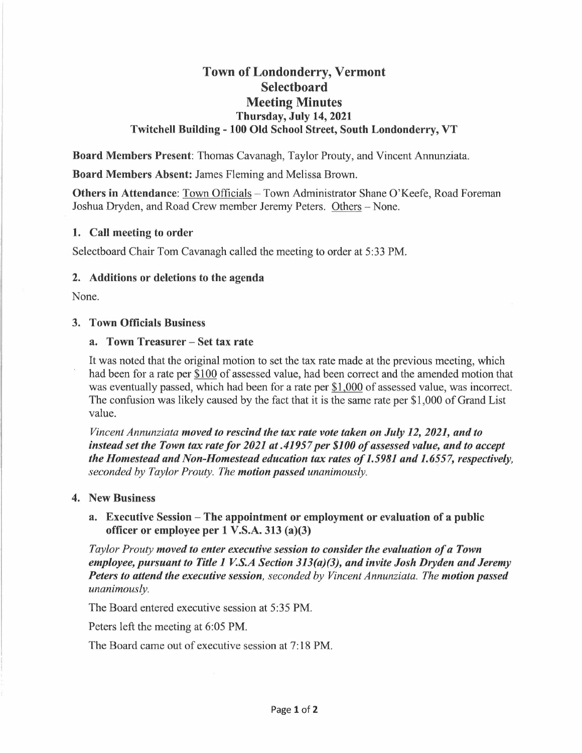# **Town of Londonderry, Vermont Selectboard Meeting Minutes Thursday, July 14, 2021 Twitchell Building - 100 Old School Street, South Londonderry, VT**

**Board Members Present:** Thomas Cavanagh, Taylor Prouty, and Vincent Annunziata.

**Board Members Absent:** James Fleming and Melissa Brown.

**Others in Attendance:** Town Officials - Town Administrator Shane O'Keefe, Road Foreman Joshua Dryden, and Road Crew member Jeremy Peters. Others-None.

## **1. Call meeting to order**

Selectboard Chair Tom Cavanagh called the meeting to order at 5:33 PM.

## **2. Additions or deletions to the agenda**

None.

## **3. Town Officials Business**

#### **a. Town Treasurer- Set tax rate**

It was noted that the original motion to set the tax rate made at the previous meeting, which had been for a rate per \$100 of assessed value, had been correct and the amended motion that was eventually passed, which had been for a rate per \$1,000 of assessed value, was incorrect. The confusion was likely caused by the fact that it is the same rate per \$1,000 of Grand List value.

*Vincent Annunziata moved to rescind the tax rate vote taken on July 12, 2021, and to instead set the Town tax rate for 2021 at .41957 per \$100 of assessed value, and to accept the Homestead and Non-Homestead education tax rates of 1.5981 and 1.6557, respectively, seconded by Taylor Prouty. The motion passed unanimously.* 

#### **4. New Business**

**a. Executive Session - The appointment or employment or evaluation of a public officer or employee per 1 V.S.A. 313 (a)(3)** 

*Taylor Prouty moved to enter executive session to consider the evaluation of a Town employee, pursuant to Title 1 V.S.A Section 313(a)(3), and invite Josh Dryden and Jeremy Peters to attend the executive session, seconded by Vincent Annunziata. The motion passed unanimously.* 

The Board entered executive session at 5:35 **PM.** 

Peters left the meeting at 6:05 **PM.** 

The Board came out of executive session at 7: 18 **PM.**